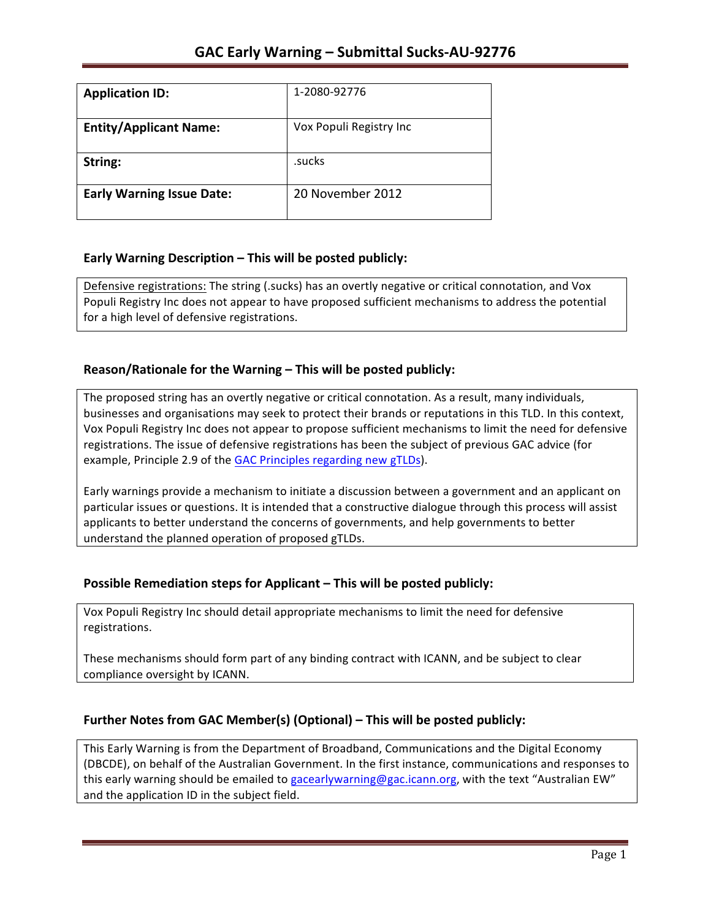| <b>Application ID:</b>           | 1-2080-92776            |
|----------------------------------|-------------------------|
| <b>Entity/Applicant Name:</b>    | Vox Populi Registry Inc |
| String:                          | .sucks                  |
| <b>Early Warning Issue Date:</b> | 20 November 2012        |

## **Early Warning Description – This will be posted publicly:**

Defensive registrations: The string (.sucks) has an overtly negative or critical connotation, and Vox Populi Registry Inc does not appear to have proposed sufficient mechanisms to address the potential for a high level of defensive registrations.

## **Reason/Rationale for the Warning – This will be posted publicly:**

The proposed string has an overtly negative or critical connotation. As a result, many individuals, businesses and organisations may seek to protect their brands or reputations in this TLD. In this context, Vox Populi Registry Inc does not appear to propose sufficient mechanisms to limit the need for defensive registrations. The issue of defensive registrations has been the subject of previous GAC advice (for example, Principle 2.9 of the GAC Principles regarding new gTLDs).

Early warnings provide a mechanism to initiate a discussion between a government and an applicant on particular issues or questions. It is intended that a constructive dialogue through this process will assist applicants to better understand the concerns of governments, and help governments to better understand the planned operation of proposed gTLDs.

## **Possible Remediation steps for Applicant – This will be posted publicly:**

Vox Populi Registry Inc should detail appropriate mechanisms to limit the need for defensive registrations. 

These mechanisms should form part of any binding contract with ICANN, and be subject to clear compliance oversight by ICANN.

## Further Notes from GAC Member(s) (Optional) - This will be posted publicly:

This Early Warning is from the Department of Broadband, Communications and the Digital Economy (DBCDE), on behalf of the Australian Government. In the first instance, communications and responses to this early warning should be emailed to gacearlywarning@gac.icann.org, with the text "Australian EW" and the application ID in the subject field.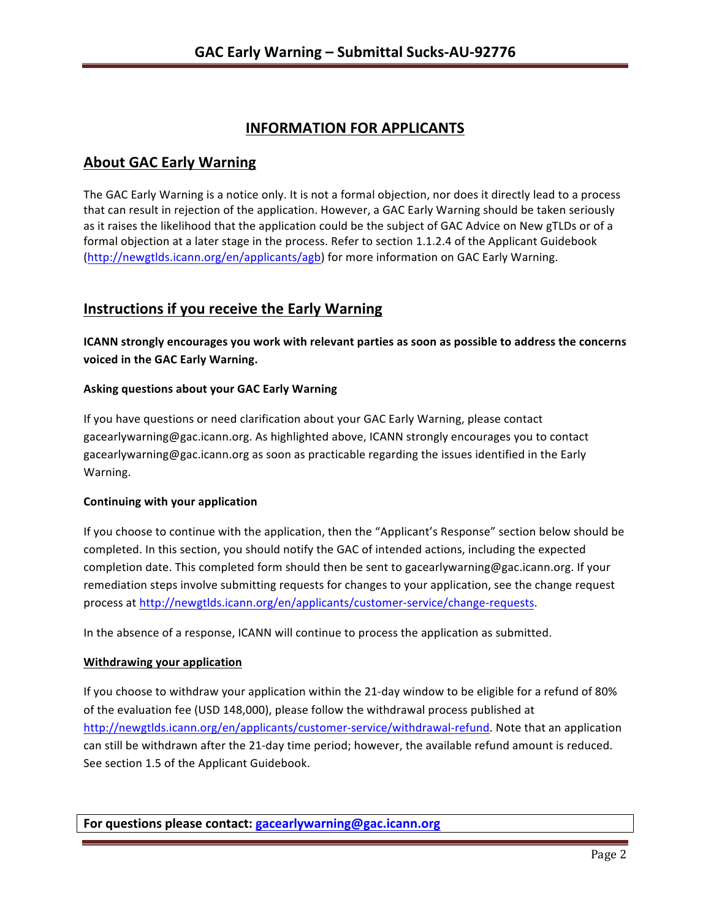# **INFORMATION FOR APPLICANTS**

## **About GAC Early Warning**

The GAC Early Warning is a notice only. It is not a formal objection, nor does it directly lead to a process that can result in rejection of the application. However, a GAC Early Warning should be taken seriously as it raises the likelihood that the application could be the subject of GAC Advice on New gTLDs or of a formal objection at a later stage in the process. Refer to section 1.1.2.4 of the Applicant Guidebook (http://newgtlds.icann.org/en/applicants/agb) for more information on GAC Early Warning.

# **Instructions if you receive the Early Warning**

**ICANN** strongly encourages you work with relevant parties as soon as possible to address the concerns **voiced in the GAC Early Warning.** 

### **Asking questions about your GAC Early Warning**

If you have questions or need clarification about your GAC Early Warning, please contact gacearlywarning@gac.icann.org. As highlighted above, ICANN strongly encourages you to contact gacearlywarning@gac.icann.org as soon as practicable regarding the issues identified in the Early Warning. 

### **Continuing with your application**

If you choose to continue with the application, then the "Applicant's Response" section below should be completed. In this section, you should notify the GAC of intended actions, including the expected completion date. This completed form should then be sent to gacearlywarning@gac.icann.org. If your remediation steps involve submitting requests for changes to your application, see the change request process at http://newgtlds.icann.org/en/applicants/customer-service/change-requests.

In the absence of a response, ICANN will continue to process the application as submitted.

### **Withdrawing your application**

If you choose to withdraw your application within the 21-day window to be eligible for a refund of 80% of the evaluation fee (USD 148,000), please follow the withdrawal process published at http://newgtlds.icann.org/en/applicants/customer-service/withdrawal-refund. Note that an application can still be withdrawn after the 21-day time period; however, the available refund amount is reduced. See section 1.5 of the Applicant Guidebook.

**For questions please contact: gacearlywarning@gac.icann.org**